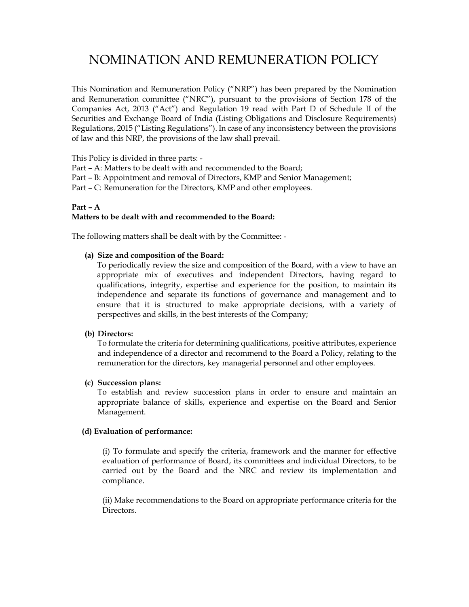# NOMINATION AND REMUNERATION POLICY

This Nomination and Remuneration Policy ("NRP") has been prepared by the Nomination and Remuneration committee ("NRC"), pursuant to the provisions of Section 178 of the Companies Act, 2013 ("Act") and Regulation 19 read with Part D of Schedule II of the Securities and Exchange Board of India (Listing Obligations and Disclosure Requirements) Regulations, 2015 ("Listing Regulations"). In case of any inconsistency between the provisions of law and this NRP, the provisions of the law shall prevail.

This Policy is divided in three parts: -

Part – A: Matters to be dealt with and recommended to the Board;

Part – B: Appointment and removal of Directors, KMP and Senior Management;

Part – C: Remuneration for the Directors, KMP and other employees.

## Part – A Matters to be dealt with and recommended to the Board:

The following matters shall be dealt with by the Committee: -

## (a) Size and composition of the Board:

To periodically review the size and composition of the Board, with a view to have an appropriate mix of executives and independent Directors, having regard to qualifications, integrity, expertise and experience for the position, to maintain its independence and separate its functions of governance and management and to ensure that it is structured to make appropriate decisions, with a variety of perspectives and skills, in the best interests of the Company;

#### (b) Directors:

To formulate the criteria for determining qualifications, positive attributes, experience and independence of a director and recommend to the Board a Policy, relating to the remuneration for the directors, key managerial personnel and other employees.

## (c) Succession plans:

To establish and review succession plans in order to ensure and maintain an appropriate balance of skills, experience and expertise on the Board and Senior Management.

#### (d) Evaluation of performance:

(i) To formulate and specify the criteria, framework and the manner for effective evaluation of performance of Board, its committees and individual Directors, to be carried out by the Board and the NRC and review its implementation and compliance.

(ii) Make recommendations to the Board on appropriate performance criteria for the Directors.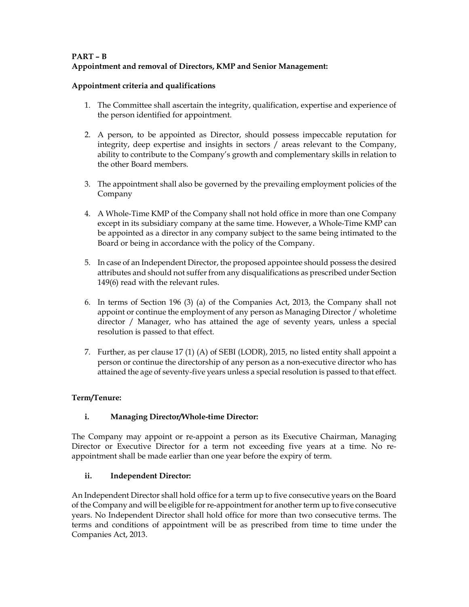# PART – B Appointment and removal of Directors, KMP and Senior Management:

## Appointment criteria and qualifications

- 1. The Committee shall ascertain the integrity, qualification, expertise and experience of the person identified for appointment.
- 2. A person, to be appointed as Director, should possess impeccable reputation for integrity, deep expertise and insights in sectors / areas relevant to the Company, ability to contribute to the Company's growth and complementary skills in relation to the other Board members.
- 3. The appointment shall also be governed by the prevailing employment policies of the Company
- 4. A Whole-Time KMP of the Company shall not hold office in more than one Company except in its subsidiary company at the same time. However, a Whole-Time KMP can be appointed as a director in any company subject to the same being intimated to the Board or being in accordance with the policy of the Company.
- 5. In case of an Independent Director, the proposed appointee should possess the desired attributes and should not suffer from any disqualifications as prescribed under Section 149(6) read with the relevant rules.
- 6. In terms of Section 196 (3) (a) of the Companies Act, 2013, the Company shall not appoint or continue the employment of any person as Managing Director / wholetime director / Manager, who has attained the age of seventy years, unless a special resolution is passed to that effect.
- 7. Further, as per clause 17 (1) (A) of SEBI (LODR), 2015, no listed entity shall appoint a person or continue the directorship of any person as a non-executive director who has attained the age of seventy-five years unless a special resolution is passed to that effect.

## Term/Tenure:

# i. Managing Director/Whole-time Director:

The Company may appoint or re-appoint a person as its Executive Chairman, Managing Director or Executive Director for a term not exceeding five years at a time. No reappointment shall be made earlier than one year before the expiry of term.

## ii. Independent Director:

An Independent Director shall hold office for a term up to five consecutive years on the Board of the Company and will be eligible for re-appointment for another term up to five consecutive years. No Independent Director shall hold office for more than two consecutive terms. The terms and conditions of appointment will be as prescribed from time to time under the Companies Act, 2013.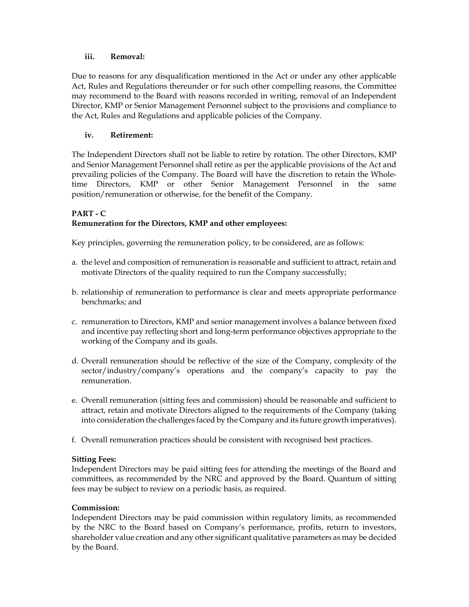## iii. Removal:

Due to reasons for any disqualification mentioned in the Act or under any other applicable Act, Rules and Regulations thereunder or for such other compelling reasons, the Committee may recommend to the Board with reasons recorded in writing, removal of an Independent Director, KMP or Senior Management Personnel subject to the provisions and compliance to the Act, Rules and Regulations and applicable policies of the Company.

# iv. Retirement:

The Independent Directors shall not be liable to retire by rotation. The other Directors, KMP and Senior Management Personnel shall retire as per the applicable provisions of the Act and prevailing policies of the Company. The Board will have the discretion to retain the Wholetime Directors, KMP or other Senior Management Personnel in the same position/remuneration or otherwise, for the benefit of the Company.

## PART - C Remuneration for the Directors, KMP and other employees:

Key principles, governing the remuneration policy, to be considered, are as follows:

- a. the level and composition of remuneration is reasonable and sufficient to attract, retain and motivate Directors of the quality required to run the Company successfully;
- b. relationship of remuneration to performance is clear and meets appropriate performance benchmarks; and
- c. remuneration to Directors, KMP and senior management involves a balance between fixed and incentive pay reflecting short and long-term performance objectives appropriate to the working of the Company and its goals.
- d. Overall remuneration should be reflective of the size of the Company, complexity of the sector/industry/company's operations and the company's capacity to pay the remuneration.
- e. Overall remuneration (sitting fees and commission) should be reasonable and sufficient to attract, retain and motivate Directors aligned to the requirements of the Company (taking into consideration the challenges faced by the Company and its future growth imperatives).
- f. Overall remuneration practices should be consistent with recognised best practices.

# Sitting Fees:

Independent Directors may be paid sitting fees for attending the meetings of the Board and committees, as recommended by the NRC and approved by the Board. Quantum of sitting fees may be subject to review on a periodic basis, as required.

## Commission:

Independent Directors may be paid commission within regulatory limits, as recommended by the NRC to the Board based on Company's performance, profits, return to investors, shareholder value creation and any other significant qualitative parameters as may be decided by the Board.